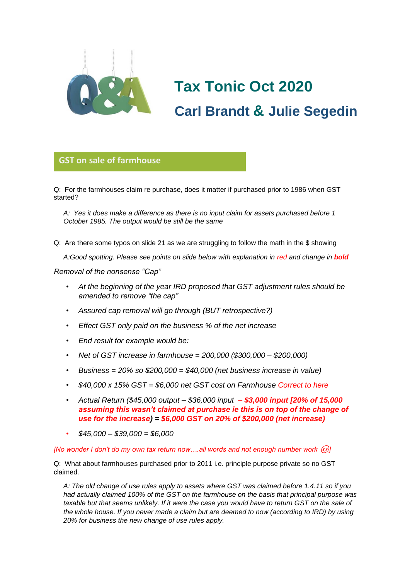

# **Tax Tonic Oct 2020 Carl Brandt & Julie Segedin**

# **GST on sale of farmhouse**

Q: For the farmhouses claim re purchase, does it matter if purchased prior to 1986 when GST **glorio**started?

*A: Yes it does make a difference as there is no input claim for assets purchased before 1 October 1985. The output would be still be the same*

Q: Are there some typos on slide 21 as we are struggling to follow the math in the \$ showing

*A:Good spotting. Please see points on slide below with explanation in red and change in bold*

#### *Removal of the nonsense "Cap"*

- *At the beginning of the year IRD proposed that GST adjustment rules should be amended to remove "the cap"*
- *Assured cap removal will go through (BUT retrospective?)*
- *Effect GST only paid on the business % of the net increase*
- *End result for example would be:*
- *Net of GST increase in farmhouse = 200,000 (\$300,000 – \$200,000)*
- *Business = 20% so \$200,000 = \$40,000 (net business increase in value)*
- *\$40,000 x 15% GST = \$6,000 net GST cost on Farmhouse Correct to here*
- *Actual Return (\$45,000 output – \$36,000 input – \$3,000 input [20% of 15,000 assuming this wasn't claimed at purchase ie this is on top of the change of use for the increase) = \$6,000 GST on 20% of \$200,000 (net increase)*
- *\$45,000 – \$39,000 = \$6,000*

#### *[No wonder I don't do my own tax return now....all words and not enough number work*  $\textcircled{\iota}$ *]*

Q: What about farmhouses purchased prior to 2011 i.e. principle purpose private so no GST claimed.

*A: The old change of use rules apply to assets where GST was claimed before 1.4.11 so if you had actually claimed 100% of the GST on the farmhouse on the basis that principal purpose was taxable but that seems unlikely. If it were the case you would have to return GST on the sale of the whole house. If you never made a claim but are deemed to now (according to IRD) by using 20% for business the new change of use rules apply.*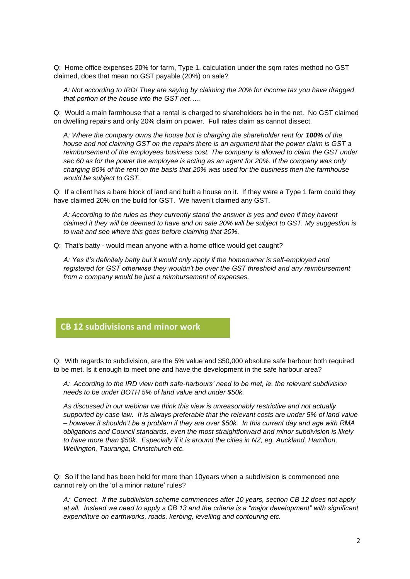Q: Home office expenses 20% for farm, Type 1, calculation under the sqm rates method no GST claimed, does that mean no GST payable (20%) on sale?

*A: Not according to IRD! They are saying by claiming the 20% for income tax you have dragged that portion of the house into the GST net…..*

Q: Would a main farmhouse that a rental is charged to shareholders be in the net. No GST claimed on dwelling repairs and only 20% claim on power. Full rates claim as cannot dissect.

A: Where the company owns the house but is charging the shareholder rent for 100% of the *house and not claiming GST on the repairs there is an argument that the power claim is GST a reimbursement of the employees business cost. The company is allowed to claim the GST under sec 60 as for the power the employee is acting as an agent for 20%. If the company was only charging 80% of the rent on the basis that 20% was used for the business then the farmhouse would be subject to GST.*

Q: If a client has a bare block of land and built a house on it. If they were a Type 1 farm could they have claimed 20% on the build for GST. We haven't claimed any GST.

*A: According to the rules as they currently stand the answer is yes and even if they havent claimed it they will be deemed to have and on sale 20% will be subject to GST. My suggestion is to wait and see where this goes before claiming that 20%.*

Q: That's batty - would mean anyone with a home office would get caught?

*A: Yes it's definitely batty but it would only apply if the homeowner is self-employed and registered for GST otherwise they wouldn't be over the GST threshold and any reimbursement from a company would be just a reimbursement of expenses.*

## **CB 12 subdivisions and minor work**

Q: With regards to subdivision, are the 5% value and \$50,000 absolute safe harbour both required to be met. Is it enough to meet one and have the development in the safe harbour area?

*A: According to the IRD view both safe-harbours' need to be met, ie. the relevant subdivision needs to be under BOTH 5% of land value and under \$50k.*

*As discussed in our webinar we think this view is unreasonably restrictive and not actually supported by case law. It is always preferable that the relevant costs are under 5% of land value – however it shouldn't be a problem if they are over \$50k. In this current day and age with RMA obligations and Council standards, even the most straightforward and minor subdivision is likely to have more than \$50k. Especially if it is around the cities in NZ, eg. Auckland, Hamilton, Wellington, Tauranga, Christchurch etc.*

Q: So if the land has been held for more than 10years when a subdivision is commenced one cannot rely on the 'of a minor nature' rules?

*A: Correct. If the subdivision scheme commences after 10 years, section CB 12 does not apply at all. Instead we need to apply s CB 13 and the criteria is a "major development" with significant expenditure on earthworks, roads, kerbing, levelling and contouring etc.*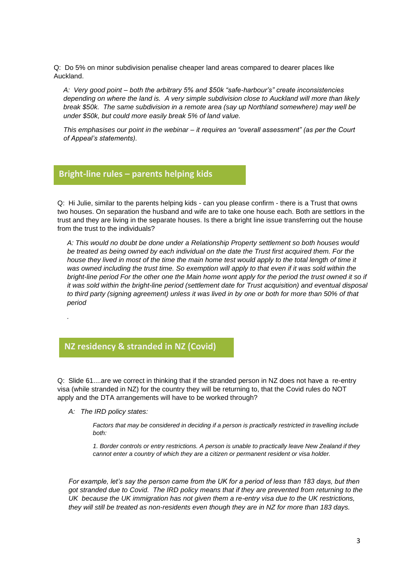Q: Do 5% on minor subdivision penalise cheaper land areas compared to dearer places like Auckland.

*A: Very good point – both the arbitrary 5% and \$50k "safe-harbour's" create inconsistencies depending on where the land is. A very simple subdivision close to Auckland will more than likely break \$50k. The same subdivision in a remote area (say up Northland somewhere) may well be under \$50k, but could more easily break 5% of land value.*

*This emphasises our point in the webinar – it requires an "overall assessment" (as per the Court of Appeal's statements).*

### **Bright-line rules – parents helping kids**

Q: Hi Julie, similar to the parents helping kids - can you please confirm - there is a Trust that owns **glorio** two houses. On separation the husband and wife are to take one house each. Both are settlors in the trust and they are living in the separate houses. Is there a bright line issue transferring out the house from the trust to the individuals?

*A: This would no doubt be done under a Relationship Property settlement so both houses would be treated as being owned by each individual on the date the Trust first acquired them. For the*  house they lived in most of the time the main home test would apply to the total length of time it *was owned including the trust time. So exemption will apply to that even if it was sold within the bright-line period For the other one the Main home wont apply for the period the trust owned it so if it was sold within the bright-line period (settlement date for Trust acquisition) and eventual disposal to third party (signing agreement) unless it was lived in by one or both for more than 50% of that period*

# **NZ residency & stranded in NZ (Covid)**

Q: Slide 61....are we correct in thinking that if the stranded person in NZ does not have a re-entry visa (while stranded in NZ) for the country they will be returning to, that the Covid rules do NOT apply and the DTA arrangements will have to be worked through?

*A: The IRD policy states:*

*.*

*Factors that may be considered in deciding if a person is practically restricted in travelling include both:*

*1. Border controls or entry restrictions. A person is unable to practically leave New Zealand if they cannot enter a country of which they are a citizen or permanent resident or visa holder.*

*For example, let's say the person came from the UK for a period of less than 183 days, but then got stranded due to Covid. The IRD policy means that if they are prevented from returning to the UK because the UK immigration has not given them a re-entry visa due to the UK restrictions, they will still be treated as non-residents even though they are in NZ for more than 183 days.*